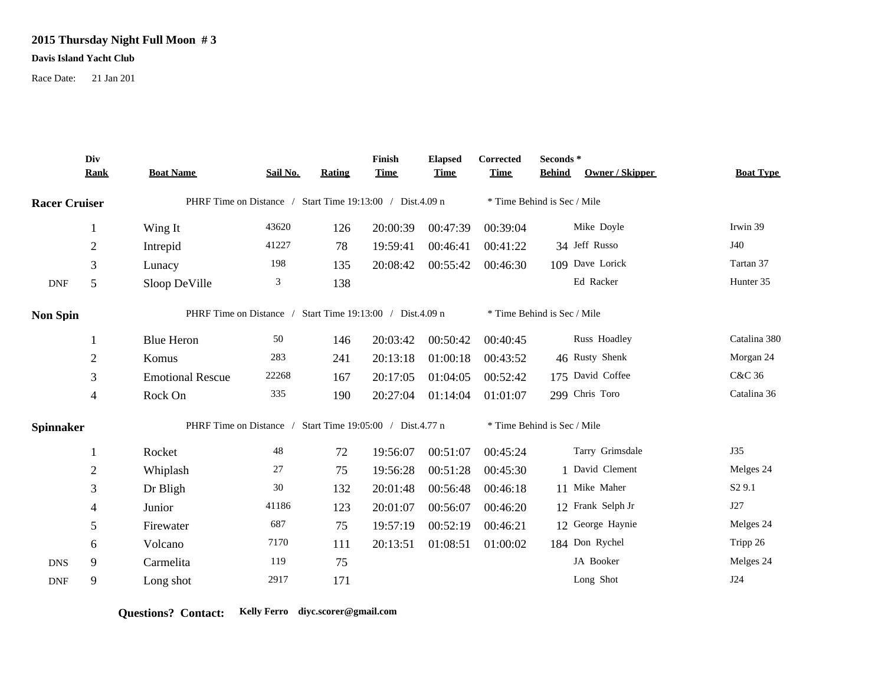## **2015 Thursday Night Full Moon # 3**

## **Davis Island Yacht Club**

Race Date: 21 Jan 201

|                      | Div<br><b>Rank</b> | <b>Boat Name</b>                                          | Sail No. | Rating | Finish<br><b>Time</b> | <b>Elapsed</b><br><b>Time</b> | Corrected<br><b>Time</b>    | Seconds*<br>Owner / Skipper<br><b>Behind</b> | <b>Boat Type</b>   |  |
|----------------------|--------------------|-----------------------------------------------------------|----------|--------|-----------------------|-------------------------------|-----------------------------|----------------------------------------------|--------------------|--|
| <b>Racer Cruiser</b> |                    | PHRF Time on Distance / Start Time 19:13:00 / Dist.4.09 n |          |        |                       |                               | * Time Behind is Sec / Mile |                                              |                    |  |
|                      | -1                 | Wing It                                                   | 43620    | 126    | 20:00:39              | 00:47:39                      | 00:39:04                    | Mike Doyle                                   | Irwin 39           |  |
|                      | $\overline{2}$     | Intrepid                                                  | 41227    | 78     | 19:59:41              | 00:46:41                      | 00:41:22                    | 34 Jeff Russo                                | J40                |  |
|                      | 3                  | Lunacy                                                    | 198      | 135    | 20:08:42              | 00:55:42                      | 00:46:30                    | 109 Dave Lorick                              | Tartan 37          |  |
| $\mathbf{DNF}$       | 5                  | Sloop DeVille                                             | 3        | 138    |                       |                               |                             | Ed Racker                                    | Hunter 35          |  |
| <b>Non Spin</b>      |                    | PHRF Time on Distance / Start Time 19:13:00 / Dist.4.09 n |          |        |                       |                               | * Time Behind is Sec / Mile |                                              |                    |  |
|                      |                    | <b>Blue Heron</b>                                         | 50       | 146    | 20:03:42              | 00:50:42                      | 00:40:45                    | Russ Hoadley                                 | Catalina 380       |  |
|                      | $\overline{2}$     | Komus                                                     | 283      | 241    | 20:13:18              | 01:00:18                      | 00:43:52                    | 46 Rusty Shenk                               | Morgan 24          |  |
|                      | 3                  | <b>Emotional Rescue</b>                                   | 22268    | 167    | 20:17:05              | 01:04:05                      | 00:52:42                    | 175 David Coffee                             | C&C 36             |  |
|                      | $\overline{4}$     | Rock On                                                   | 335      | 190    | 20:27:04              | 01:14:04                      | 01:01:07                    | 299 Chris Toro                               | Catalina 36        |  |
| <b>Spinnaker</b>     |                    | PHRF Time on Distance / Start Time 19:05:00 / Dist.4.77 n |          |        |                       |                               | * Time Behind is Sec / Mile |                                              |                    |  |
|                      |                    | Rocket                                                    | 48       | 72     | 19:56:07              | 00:51:07                      | 00:45:24                    | Tarry Grimsdale                              | <b>J35</b>         |  |
|                      | $\overline{2}$     | Whiplash                                                  | 27       | 75     | 19:56:28              | 00:51:28                      | 00:45:30                    | 1 David Clement                              | Melges 24          |  |
|                      | $\mathfrak{Z}$     | Dr Bligh                                                  | 30       | 132    | 20:01:48              | 00:56:48                      | 00:46:18                    | 11 Mike Maher                                | S <sub>2</sub> 9.1 |  |
|                      | 4                  | Junior                                                    | 41186    | 123    | 20:01:07              | 00:56:07                      | 00:46:20                    | 12 Frank Selph Jr                            | J27                |  |
|                      | 5                  | Firewater                                                 | 687      | 75     | 19:57:19              | 00:52:19                      | 00:46:21                    | 12 George Haynie                             | Melges 24          |  |
|                      | 6                  | Volcano                                                   | 7170     | 111    | 20:13:51              | 01:08:51                      | 01:00:02                    | 184 Don Rychel                               | Tripp 26           |  |
| <b>DNS</b>           | 9                  | Carmelita                                                 | 119      | 75     |                       |                               |                             | JA Booker                                    | Melges 24          |  |
| <b>DNF</b>           | 9                  | Long shot                                                 | 2917     | 171    |                       |                               |                             | Long Shot                                    | J24                |  |

**Questions? Contact: Kelly Ferro diyc.scorer@gmail.com**